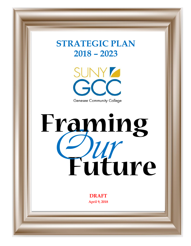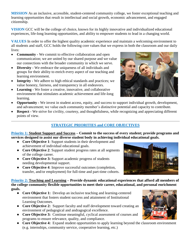**MISSION** As an inclusive, accessible, student-centered community college, we foster exceptional teaching and learning opportunities that result in intellectual and social growth, economic advancement, and engaged citizenship.

**VISION** GCC will be the college of choice, known for its highly innovative and individualized educational experiences, life-long learning opportunities, and ability to empower students to lead in a changing world.

**VALUES** In order to offer the highest quality academic experience and maintain a welcoming environment to all students and staff, GCC holds the following core values that we express in both the classroom and our daily lives:

- **Community -** We commit to effective collaboration and open communication; we are united by our shared purpose and we value our connections with the broader community in which we serve.
- **Diversity -** We embrace the uniqueness of all individuals and groups for their ability to enrich every aspect of our teaching and learning environment.
- **Integrity -** We adhere to high ethical standards and practices; we value honesty, fairness, and transparency in all endeavors.
- **Learning -** We foster a creative, innovative, and collaborative environment that stimulates academic achievement and life-long learning.
- **Opportunity -** We invest in student access, equity, and success to support individual growth, development, and advancement; we value each community member's distinctive potential and capacity to contribute.
- **• Respect -** We strive for civility, courtesy, and thoughtfulness, while recognizing and appreciating different points of view.

# **STRATEGIC PRIORITIES and CORE OBJECTIVES**

**Priority 1: Student Support and Success – Commit to the success of every student; provide programs and services designed to assist our diverse student body in achieving individual educational goals.**

- **Core Objective 1**: Support students in their development and achievement of individual educational goals.
- **Core Objective 2**: Support student progress rates at all segments of the college career.
- **Core Objective 3:** Support academic progress of students needing developmental support.
- **Core Objective 4**: Improve successful outcomes (completion, transfer, and/or employment) for full-time and part-time cohorts.

**Priority 2: Teaching and Learning – Provide dynamic educational experiences that afford all members of the college community flexible opportunities to meet their career, educational, and personal enrichment goals.**

- **Core Objective 1:** Develop an inclusive teaching and learning-centered environment that fosters student success and attainment of Institutional Learning Outcomes.
- **Core Objective 2:** Support faculty and staff development toward creating an environment of pedagogical and andragogical excellence.
- **Core Objective 3:** Continue meaningful, cyclical assessment of courses and programs to ensure relevance, quality, and compliance.
- **Core Objective 4:** Expand student opportunities to apply learning beyond the classroom environment (e.g. internships, community service, cooperative learning, etc.)





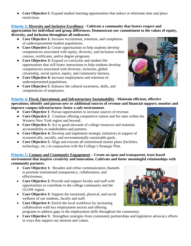● **Core Objective 5**: Expand student learning opportunities that reduce or eliminate time and place restrictions.

# **Priority 3: Diversity and Inclusive Excellence - Cultivate a community that fosters respect and appreciation for individual and group differences. Demonstrate our commitment to the values of equity, diversity, and inclusion throughout all endeavors.**

- **Core Objective 1:** Increase recruitment, retention, and completion of underrepresented student populations.
- **Core Objective 2:** Create opportunities to help students develop competencies associated with equity, diversity, and inclusion within courses, certificates, and/or degree programs.
- **Core Objective 3:** Expand co-curricular and student life opportunities that will foster interactions to help students develop competencies associated with diversity, inclusion, global citizenship, social justice, equity, and community fairness.
- **Core Objective 4:** Increase employment and retention of underrepresented populations.
- **Core Objective 5**: Enhance the cultural awareness, skills, and competencies of employees.



# **Priority 4: Fiscal, Operational, and Infrastructure Sustainability** - **Maintain efficient, effective operations; identify and pursue new or additional sources of revenue and financial support; monitor and improve campus infrastructure; foster a safe environment.**

- **Core Objective 1**: Pursue opportunities to increase sources of revenue.
- **Core Objective 2**: Continue offering competitive tuition and fee rates within the Western New York region and beyond.
- **Core Objective 3:** Act as good stewards of college resources and maintain accountability to stakeholders and partners.
- **Core Objective 4:** Develop and implement strategic initiatives in support of economically, socially, and environmentally sustainable goals.
- **Core Objective 5**: Align and execute all institutional master plans (facilities, technology, etc.) in conjunction with the College's Strategic Plan.

# **Priority 5: Campus and Community Engagement – Create an open and transparent, trust-based environment that inspires creativity and innovation. Cultivate and foster meaningful relationships with community partners.**

- Core Objective 1: Broaden and refine communication channels to promote institutional transparency, collaboration, and effectiveness.
- Core Objective 2: Provide and support faculty and staff with opportunities to contribute to the college community and the GLOW region.
- **Core Objective 3:** Support the emotional, physical, and social wellness of our students, faculty and staff.
- Core Objective 4: Enrich the local workforce by increasing collaboration with key employment sectors and offering programs to address gaps in the employment skills throughout the community.
- Core Objective 5: Strengthen synergies from community partnerships and legislative advocacy efforts in ways that support our mission and values.